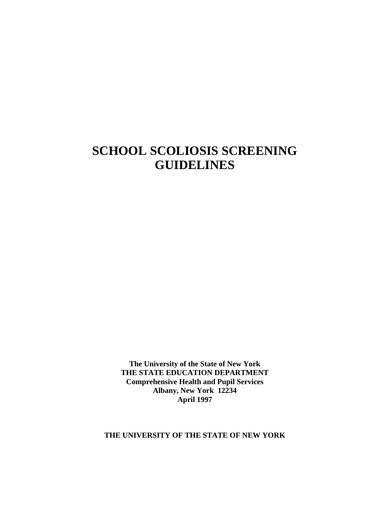# **SCHOOL SCOLIOSIS SCREENING GUIDELINES**

**The University of the State of New York THE STATE EDUCATION DEPARTMENT Comprehensive Health and Pupil Services Albany, New York 12234 April 1997**

**THE UNIVERSITY OF THE STATE OF NEW YORK**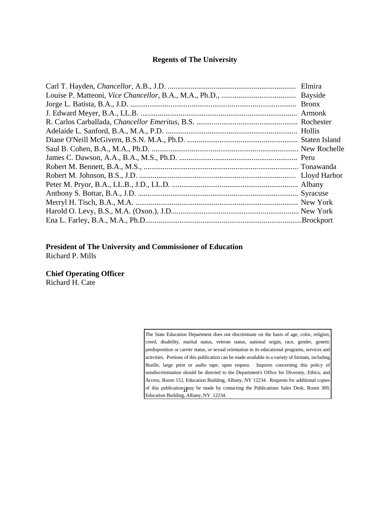#### **Regents of The University**

#### **President of The University and Commissioner of Education** Richard P. Mills

**Chief Operating Officer**

Richard H. Cate

of this publication  $\mathbf{i}$  pay be made by contacting the Publications Sales Desk, Room 309, The State Education Department does not discriminate on the basis of age, color, religion, creed, disability, marital status, veteran status, national origin, race, gender, genetic predisposition or carrier status, or sexual orientation in its educational programs, services and activities. Portions of this publication can be made available in a variety of formats, including Braille, large print or audio tape, upon request. Inquires concerning this policy of nondiscrimination should be directed to the Department's Office for Diversity, Ethics, and Access, Room 152, Education Building, Albany, NY 12234. Requests for additional copies Education Building, Albany, NY 12234.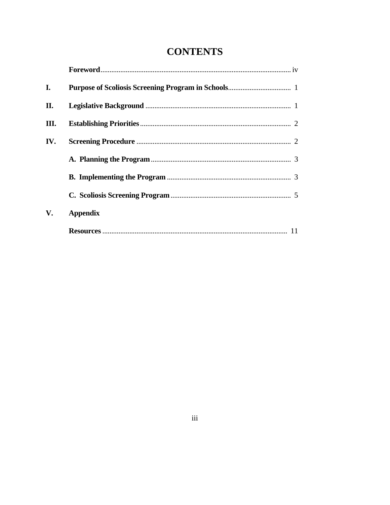## **CONTENTS**

| I.  |                 |
|-----|-----------------|
| П.  |                 |
| Ш.  |                 |
| IV. |                 |
|     |                 |
|     |                 |
|     |                 |
| V.  | <b>Appendix</b> |
|     |                 |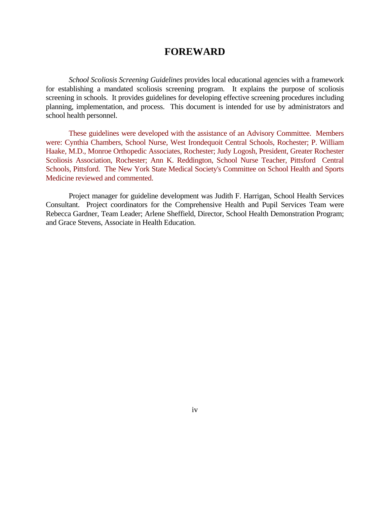### **FOREWARD**

 *School Scoliosis Screening Guidelines* provides local educational agencies with a framework for establishing a mandated scoliosis screening program. It explains the purpose of scoliosis screening in schools. It provides guidelines for developing effective screening procedures including planning, implementation, and process. This document is intended for use by administrators and school health personnel.

 These guidelines were developed with the assistance of an Advisory Committee. Members were: Cynthia Chambers, School Nurse, West Irondequoit Central Schools, Rochester; P. William Haake, M.D., Monroe Orthopedic Associates, Rochester; Judy Logosh, President, Greater Rochester Scoliosis Association, Rochester; Ann K. Reddington, School Nurse Teacher, Pittsford Central Schools, Pittsford. The New York State Medical Society's Committee on School Health and Sports Medicine reviewed and commented.

 Project manager for guideline development was Judith F. Harrigan, School Health Services Consultant. Project coordinators for the Comprehensive Health and Pupil Services Team were Rebecca Gardner, Team Leader; Arlene Sheffield, Director, School Health Demonstration Program; and Grace Stevens, Associate in Health Education.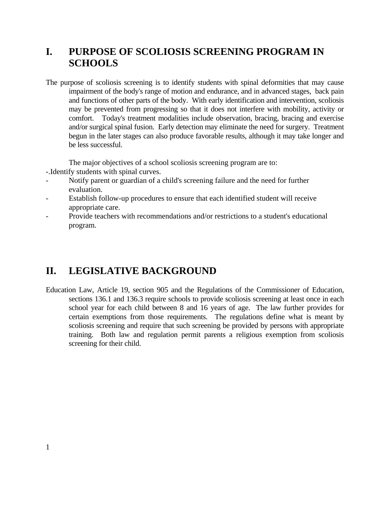### **I. PURPOSE OF SCOLIOSIS SCREENING PROGRAM IN SCHOOLS**

The purpose of scoliosis screening is to identify students with spinal deformities that may cause impairment of the body's range of motion and endurance, and in advanced stages, back pain and functions of other parts of the body. With early identification and intervention, scoliosis may be prevented from progressing so that it does not interfere with mobility, activity or comfort. Today's treatment modalities include observation, bracing, bracing and exercise and/or surgical spinal fusion. Early detection may eliminate the need for surgery. Treatment begun in the later stages can also produce favorable results, although it may take longer and be less successful.

The major objectives of a school scoliosis screening program are to:

- -.Identify students with spinal curves.
- Notify parent or guardian of a child's screening failure and the need for further evaluation.
- Establish follow-up procedures to ensure that each identified student will receive appropriate care.
- Provide teachers with recommendations and/or restrictions to a student's educational program.

### **II. LEGISLATIVE BACKGROUND**

Education Law, Article 19, section 905 and the Regulations of the Commissioner of Education, sections 136.1 and 136.3 require schools to provide scoliosis screening at least once in each school year for each child between 8 and 16 years of age. The law further provides for certain exemptions from those requirements. The regulations define what is meant by scoliosis screening and require that such screening be provided by persons with appropriate training. Both law and regulation permit parents a religious exemption from scoliosis screening for their child.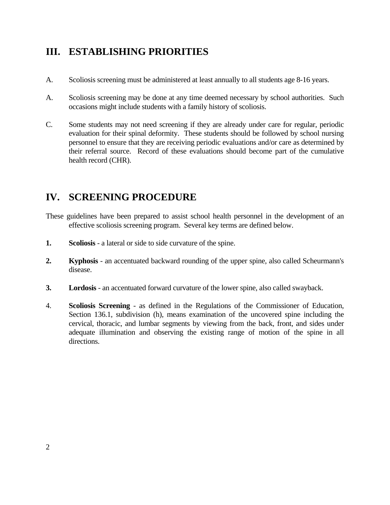## **III. ESTABLISHING PRIORITIES**

- A. Scoliosis screening must be administered at least annually to all students age 8-16 years.
- A. Scoliosis screening may be done at any time deemed necessary by school authorities. Such occasions might include students with a family history of scoliosis.
- C. Some students may not need screening if they are already under care for regular, periodic evaluation for their spinal deformity. These students should be followed by school nursing personnel to ensure that they are receiving periodic evaluations and/or care as determined by their referral source. Record of these evaluations should become part of the cumulative health record (CHR).

## **IV. SCREENING PROCEDURE**

- These guidelines have been prepared to assist school health personnel in the development of an effective scoliosis screening program. Several key terms are defined below.
- **1. Scoliosis** a lateral or side to side curvature of the spine.
- **2. Kyphosis** an accentuated backward rounding of the upper spine, also called Scheurmann's disease.
- **3. Lordosis** an accentuated forward curvature of the lower spine, also called swayback.
- 4. **Scoliosis Screening** as defined in the Regulations of the Commissioner of Education, Section 136.1, subdivision (h), means examination of the uncovered spine including the cervical, thoracic, and lumbar segments by viewing from the back, front, and sides under adequate illumination and observing the existing range of motion of the spine in all directions.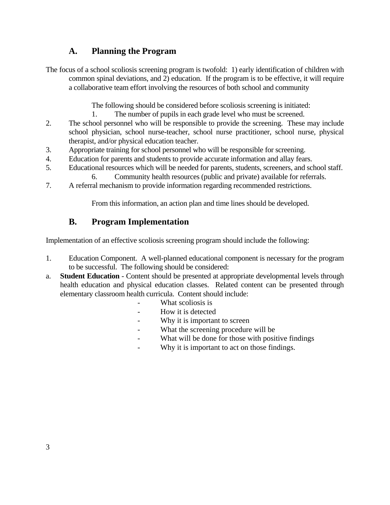### **A. Planning the Program**

The focus of a school scoliosis screening program is twofold: 1) early identification of children with common spinal deviations, and 2) education. If the program is to be effective, it will require a collaborative team effort involving the resources of both school and community

The following should be considered before scoliosis screening is initiated:

- 1. The number of pupils in each grade level who must be screened.
- 2. The school personnel who will be responsible to provide the screening. These may include school physician, school nurse-teacher, school nurse practitioner, school nurse, physical therapist, and/or physical education teacher.
- 3. Appropriate training for school personnel who will be responsible for screening.
- 4. Education for parents and students to provide accurate information and allay fears.
- 5. Educational resources which will be needed for parents, students, screeners, and school staff. 6. Community health resources (public and private) available for referrals.
- 7. A referral mechanism to provide information regarding recommended restrictions.

From this information, an action plan and time lines should be developed.

### **B. Program Implementation**

Implementation of an effective scoliosis screening program should include the following:

- 1. Education Component. A well-planned educational component is necessary for the program to be successful. The following should be considered:
- a. **Student Education** Content should be presented at appropriate developmental levels through health education and physical education classes. Related content can be presented through elementary classroom health curricula. Content should include:
	- What scoliosis is
	- How it is detected
	- Why it is important to screen
	- What the screening procedure will be
	- What will be done for those with positive findings
	- Why it is important to act on those findings.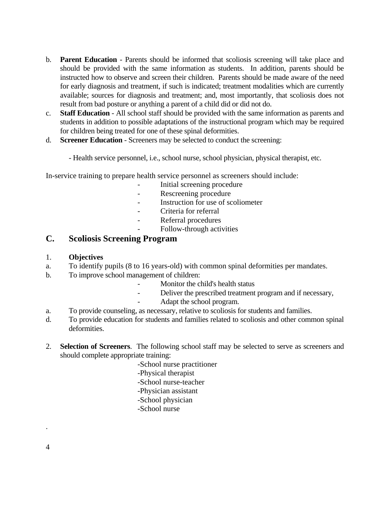- b. **Parent Education** Parents should be informed that scoliosis screening will take place and should be provided with the same information as students. In addition, parents should be instructed how to observe and screen their children. Parents should be made aware of the need for early diagnosis and treatment, if such is indicated; treatment modalities which are currently available; sources for diagnosis and treatment; and, most importantly, that scoliosis does not result from bad posture or anything a parent of a child did or did not do.
- c. **Staff Education** All school staff should be provided with the same information as parents and students in addition to possible adaptations of the instructional program which may be required for children being treated for one of these spinal deformities.
- d. **Screener Education** Screeners may be selected to conduct the screening:

- Health service personnel, i.e., school nurse, school physician, physical therapist, etc.

In-service training to prepare health service personnel as screeners should include:

- Initial screening procedure
- Rescreening procedure
- Instruction for use of scoliometer
- Criteria for referral
- Referral procedures
- Follow-through activities

### **C. Scoliosis Screening Program**

#### 1. **Objectives**

- a. To identify pupils (8 to 16 years-old) with common spinal deformities per mandates.
- b. To improve school management of children:
	- Monitor the child's health status
	- Deliver the prescribed treatment program and if necessary,
	- Adapt the school program.
- a. To provide counseling, as necessary, relative to scoliosis for students and families.
- d. To provide education for students and families related to scoliosis and other common spinal deformities.
- 2. **Selection of Screeners**. The following school staff may be selected to serve as screeners and should complete appropriate training:
	- -School nurse practitioner -Physical therapist -School nurse-teacher -Physician assistant -School physician -School nurse

4

.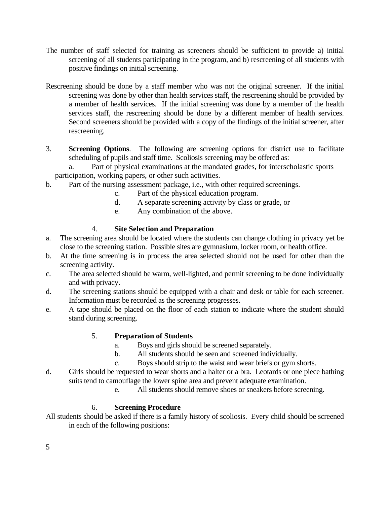- The number of staff selected for training as screeners should be sufficient to provide a) initial screening of all students participating in the program, and b) rescreening of all students with positive findings on initial screening.
- Rescreening should be done by a staff member who was not the original screener. If the initial screening was done by other than health services staff, the rescreening should be provided by a member of health services. If the initial screening was done by a member of the health services staff, the rescreening should be done by a different member of health services. Second screeners should be provided with a copy of the findings of the initial screener, after rescreening.
- 3. **Screening Options**. The following are screening options for district use to facilitate scheduling of pupils and staff time. Scoliosis screening may be offered as:

 a. Part of physical examinations at the mandated grades, for interscholastic sports participation, working papers, or other such activities.

- b. Part of the nursing assessment package, i.e., with other required screenings.
	- c. Part of the physical education program.
	- d. A separate screening activity by class or grade, or
	- e. Any combination of the above.

#### 4. **Site Selection and Preparation**

- a. The screening area should be located where the students can change clothing in privacy yet be close to the screening station. Possible sites are gymnasium, locker room, or health office.
- b. At the time screening is in process the area selected should not be used for other than the screening activity.
- c. The area selected should be warm, well-lighted, and permit screening to be done individually and with privacy.
- d. The screening stations should be equipped with a chair and desk or table for each screener. Information must be recorded as the screening progresses.
- e. A tape should be placed on the floor of each station to indicate where the student should stand during screening.

#### 5. **Preparation of Students**

- a. Boys and girls should be screened separately.
- b. All students should be seen and screened individually.
- c. Boys should strip to the waist and wear briefs or gym shorts.
- d. Girls should be requested to wear shorts and a halter or a bra. Leotards or one piece bathing suits tend to camouflage the lower spine area and prevent adequate examination.
	- e. All students should remove shoes or sneakers before screening.

#### 6. **Screening Procedure**

All students should be asked if there is a family history of scoliosis. Every child should be screened in each of the following positions: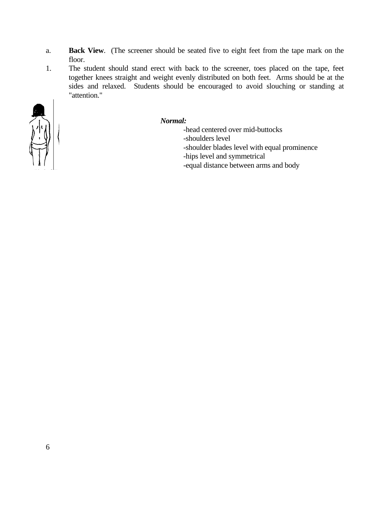- a. **Back View**. (The screener should be seated five to eight feet from the tape mark on the floor.
- 1. The student should stand erect with back to the screener, toes placed on the tape, feet together knees straight and weight evenly distributed on both feet. Arms should be at the sides and relaxed. Students should be encouraged to avoid slouching or standing at "attention."



#### *Normal:*

 -head centered over mid-buttocks -shoulders level -shoulder blades level with equal prominence -hips level and symmetrical -equal distance between arms and body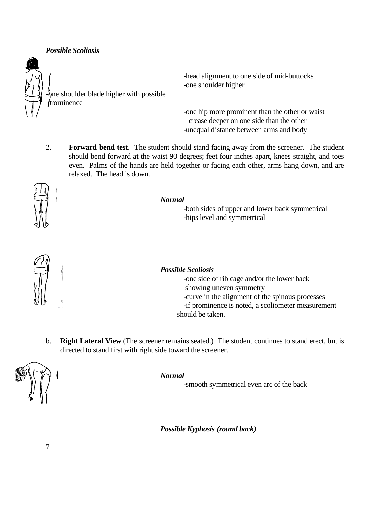*Possible Scoliosis*



one shoulder blade higher with possible prominence

 -head alignment to one side of mid-buttocks -one shoulder higher

 -one hip more prominent than the other or waist crease deeper on one side than the other -unequal distance between arms and body

2. **Forward bend test**. The student should stand facing away from the screener. The student should bend forward at the waist 90 degrees; feet four inches apart, knees straight, and toes even. Palms of the hands are held together or facing each other, arms hang down, and are relaxed. The head is down.



#### *Normal*

 -both sides of upper and lower back symmetrical -hips level and symmetrical



#### *Possible Scoliosis*

 -one side of rib cage and/or the lower back showing uneven symmetry -curve in the alignment of the spinous processes -if prominence is noted, a scoliometer measurement should be taken.

b. **Right Lateral View** (The screener remains seated.) The student continues to stand erect, but is directed to stand first with right side toward the screener.



#### *Normal*

-smooth symmetrical even arc of the back

 *Possible Kyphosis (round back)*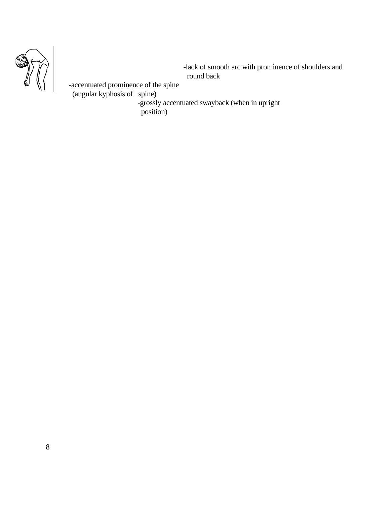

 -lack of smooth arc with prominence of shoulders and round back

 -accentuated prominence of the spine (angular kyphosis of spine) -grossly accentuated swayback (when in upright

position)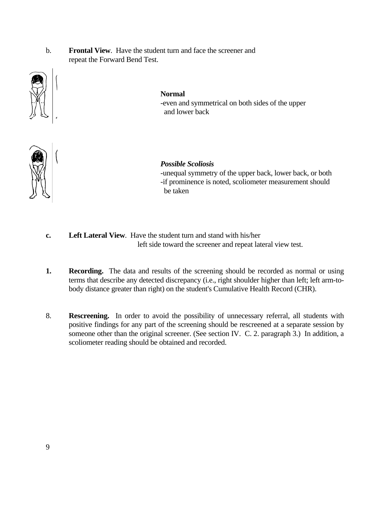b. **Frontal View**. Have the student turn and face the screener and repeat the Forward Bend Test.



#### **Normal**

 -even and symmetrical on both sides of the upper and lower back



#### *Possible Scoliosis*

 -unequal symmetry of the upper back, lower back, or both -if prominence is noted, scoliometer measurement should be taken

- **c. Left Lateral View**. Have the student turn and stand with his/her left side toward the screener and repeat lateral view test.
- **1.** Recording. The data and results of the screening should be recorded as normal or using terms that describe any detected discrepancy (i.e., right shoulder higher than left; left arm-tobody distance greater than right) on the student's Cumulative Health Record (CHR).
- 8. **Rescreening.** In order to avoid the possibility of unnecessary referral, all students with positive findings for any part of the screening should be rescreened at a separate session by someone other than the original screener. (See section IV. C. 2. paragraph 3.) In addition, a scoliometer reading should be obtained and recorded.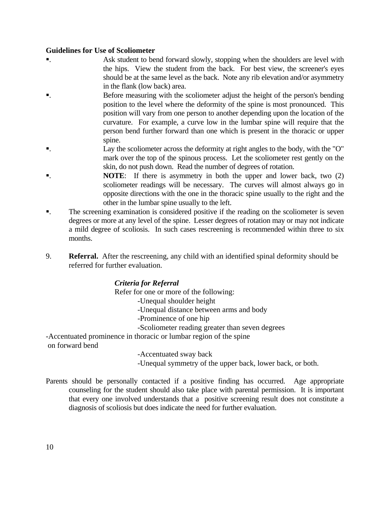#### **Guidelines for Use of Scoliometer**

- . Ask student to bend forward slowly, stopping when the shoulders are level with the hips. View the student from the back. For best view, the screener's eyes should be at the same level as the back. Note any rib elevation and/or asymmetry in the flank (low back) area.
- . Before measuring with the scoliometer adjust the height of the person's bending position to the level where the deformity of the spine is most pronounced. This position will vary from one person to another depending upon the location of the curvature. For example, a curve low in the lumbar spine will require that the person bend further forward than one which is present in the thoracic or upper spine.
- . Lay the scoliometer across the deformity at right angles to the body, with the "O" mark over the top of the spinous process. Let the scoliometer rest gently on the skin, do not push down. Read the number of degrees of rotation.
- . **NOTE**: If there is asymmetry in both the upper and lower back, two (2) scoliometer readings will be necessary. The curves will almost always go in opposite directions with the one in the thoracic spine usually to the right and the other in the lumbar spine usually to the left.
- . The screening examination is considered positive if the reading on the scoliometer is seven degrees or more at any level of the spine. Lesser degrees of rotation may or may not indicate a mild degree of scoliosis. In such cases rescreening is recommended within three to six months.
- 9. **Referral.** After the rescreening, any child with an identified spinal deformity should be referred for further evaluation.

#### *Criteria for Referral*

Refer for one or more of the following:

-Unequal shoulder height

- -Unequal distance between arms and body
- -Prominence of one hip
- -Scoliometer reading greater than seven degrees

-Accentuated prominence in thoracic or lumbar region of the spine

on forward bend

-Accentuated sway back

-Unequal symmetry of the upper back, lower back, or both.

Parents should be personally contacted if a positive finding has occurred. Age appropriate counseling for the student should also take place with parental permission. It is important that every one involved understands that a positive screening result does not constitute a diagnosis of scoliosis but does indicate the need for further evaluation.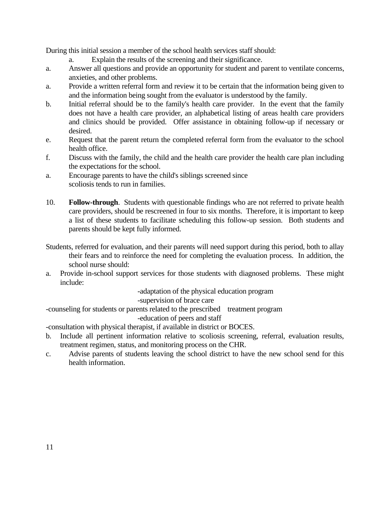During this initial session a member of the school health services staff should:

- a. Explain the results of the screening and their significance.
- a. Answer all questions and provide an opportunity for student and parent to ventilate concerns, anxieties, and other problems.
- a. Provide a written referral form and review it to be certain that the information being given to and the information being sought from the evaluator is understood by the family.
- b. Initial referral should be to the family's health care provider. In the event that the family does not have a health care provider, an alphabetical listing of areas health care providers and clinics should be provided. Offer assistance in obtaining follow-up if necessary or desired.
- e. Request that the parent return the completed referral form from the evaluator to the school health office.
- f. Discuss with the family, the child and the health care provider the health care plan including the expectations for the school.
- a. Encourage parents to have the child's siblings screened since scoliosis tends to run in families.
- 10. **Follow-through**. Students with questionable findings who are not referred to private health care providers, should be rescreened in four to six months. Therefore, it is important to keep a list of these students to facilitate scheduling this follow-up session. Both students and parents should be kept fully informed.
- Students, referred for evaluation, and their parents will need support during this period, both to allay their fears and to reinforce the need for completing the evaluation process. In addition, the school nurse should:
- a. Provide in-school support services for those students with diagnosed problems. These might include:

-adaptation of the physical education program

-supervision of brace care

-counseling for students or parents related to the prescribed treatment program

-education of peers and staff

-consultation with physical therapist, if available in district or BOCES.

- b. Include all pertinent information relative to scoliosis screening, referral, evaluation results, treatment regimen, status, and monitoring process on the CHR.
- c. Advise parents of students leaving the school district to have the new school send for this health information.